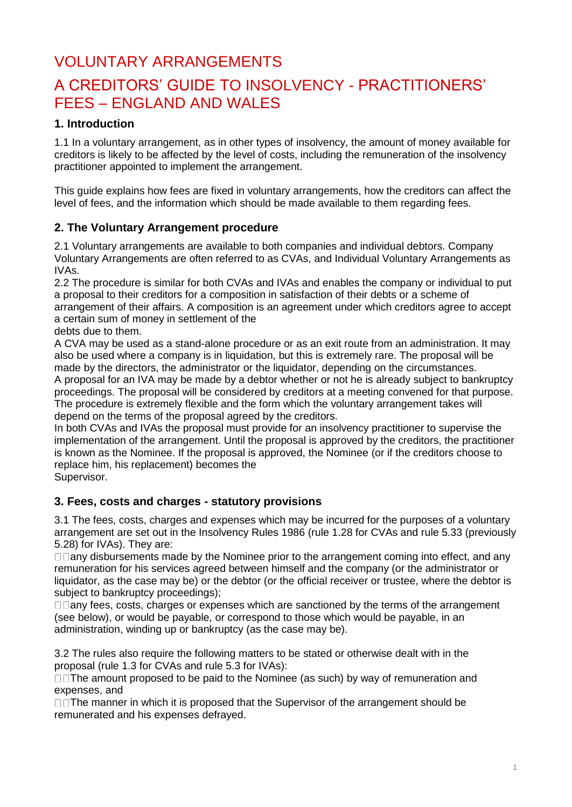# VOLUNTARY ARRANGEMENTS

# A CREDITORS' GUIDE TO INSOLVENCY - PRACTITIONERS' FEES – ENGLAND AND WALES

# **1. Introduction**

1.1 In a voluntary arrangement, as in other types of insolvency, the amount of money available for creditors is likely to be affected by the level of costs, including the remuneration of the insolvency practitioner appointed to implement the arrangement.

This guide explains how fees are fixed in voluntary arrangements, how the creditors can affect the level of fees, and the information which should be made available to them regarding fees.

# **2. The Voluntary Arrangement procedure**

2.1 Voluntary arrangements are available to both companies and individual debtors. Company Voluntary Arrangements are often referred to as CVAs, and Individual Voluntary Arrangements as IVAs.

2.2 The procedure is similar for both CVAs and IVAs and enables the company or individual to put a proposal to their creditors for a composition in satisfaction of their debts or a scheme of arrangement of their affairs. A composition is an agreement under which creditors agree to accept a certain sum of money in settlement of the

debts due to them.

A CVA may be used as a stand-alone procedure or as an exit route from an administration. It may also be used where a company is in liquidation, but this is extremely rare. The proposal will be made by the directors, the administrator or the liquidator, depending on the circumstances. A proposal for an IVA may be made by a debtor whether or not he is already subject to bankruptcy proceedings. The proposal will be considered by creditors at a meeting convened for that purpose. The procedure is extremely flexible and the form which the voluntary arrangement takes will depend on the terms of the proposal agreed by the creditors.

In both CVAs and IVAs the proposal must provide for an insolvency practitioner to supervise the implementation of the arrangement. Until the proposal is approved by the creditors, the practitioner is known as the Nominee. If the proposal is approved, the Nominee (or if the creditors choose to replace him, his replacement) becomes the

Supervisor.

### **3. Fees, costs and charges - statutory provisions**

3.1 The fees, costs, charges and expenses which may be incurred for the purposes of a voluntary arrangement are set out in the Insolvency Rules 1986 (rule 1.28 for CVAs and rule 5.33 (previously 5.28) for IVAs). They are:

 $\Box$   $\Box$  any disbursements made by the Nominee prior to the arrangement coming into effect, and any remuneration for his services agreed between himself and the company (or the administrator or liquidator, as the case may be) or the debtor (or the official receiver or trustee, where the debtor is subject to bankruptcy proceedings);

 $\Box$   $\Box$  any fees, costs, charges or expenses which are sanctioned by the terms of the arrangement (see below), or would be payable, or correspond to those which would be payable, in an administration, winding up or bankruptcy (as the case may be).

3.2 The rules also require the following matters to be stated or otherwise dealt with in the proposal (rule 1.3 for CVAs and rule 5.3 for IVAs):

□□The amount proposed to be paid to the Nominee (as such) by way of remuneration and expenses, and

 $\Box$ The manner in which it is proposed that the Supervisor of the arrangement should be remunerated and his expenses defrayed.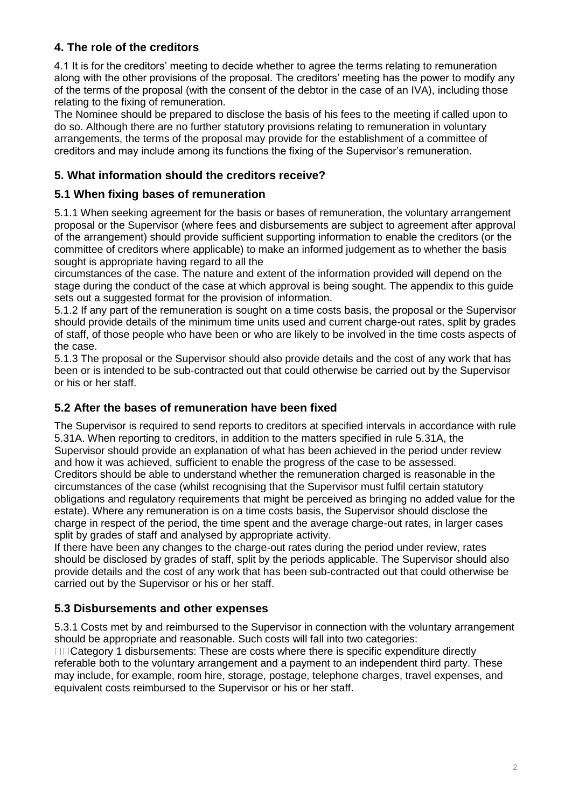# **4. The role of the creditors**

4.1 It is for the creditors' meeting to decide whether to agree the terms relating to remuneration along with the other provisions of the proposal. The creditors' meeting has the power to modify any of the terms of the proposal (with the consent of the debtor in the case of an IVA), including those relating to the fixing of remuneration.

The Nominee should be prepared to disclose the basis of his fees to the meeting if called upon to do so. Although there are no further statutory provisions relating to remuneration in voluntary arrangements, the terms of the proposal may provide for the establishment of a committee of creditors and may include among its functions the fixing of the Supervisor's remuneration.

# **5. What information should the creditors receive?**

## **5.1 When fixing bases of remuneration**

5.1.1 When seeking agreement for the basis or bases of remuneration, the voluntary arrangement proposal or the Supervisor (where fees and disbursements are subject to agreement after approval of the arrangement) should provide sufficient supporting information to enable the creditors (or the committee of creditors where applicable) to make an informed judgement as to whether the basis sought is appropriate having regard to all the

circumstances of the case. The nature and extent of the information provided will depend on the stage during the conduct of the case at which approval is being sought. The appendix to this guide sets out a suggested format for the provision of information.

5.1.2 If any part of the remuneration is sought on a time costs basis, the proposal or the Supervisor should provide details of the minimum time units used and current charge-out rates, split by grades of staff, of those people who have been or who are likely to be involved in the time costs aspects of the case.

5.1.3 The proposal or the Supervisor should also provide details and the cost of any work that has been or is intended to be sub-contracted out that could otherwise be carried out by the Supervisor or his or her staff.

## **5.2 After the bases of remuneration have been fixed**

The Supervisor is required to send reports to creditors at specified intervals in accordance with rule 5.31A. When reporting to creditors, in addition to the matters specified in rule 5.31A, the Supervisor should provide an explanation of what has been achieved in the period under review and how it was achieved, sufficient to enable the progress of the case to be assessed. Creditors should be able to understand whether the remuneration charged is reasonable in the circumstances of the case (whilst recognising that the Supervisor must fulfil certain statutory obligations and regulatory requirements that might be perceived as bringing no added value for the estate). Where any remuneration is on a time costs basis, the Supervisor should disclose the charge in respect of the period, the time spent and the average charge-out rates, in larger cases split by grades of staff and analysed by appropriate activity.

If there have been any changes to the charge-out rates during the period under review, rates should be disclosed by grades of staff, split by the periods applicable. The Supervisor should also provide details and the cost of any work that has been sub-contracted out that could otherwise be carried out by the Supervisor or his or her staff.

# **5.3 Disbursements and other expenses**

5.3.1 Costs met by and reimbursed to the Supervisor in connection with the voluntary arrangement should be appropriate and reasonable. Such costs will fall into two categories:

□□Category 1 disbursements: These are costs where there is specific expenditure directly referable both to the voluntary arrangement and a payment to an independent third party. These may include, for example, room hire, storage, postage, telephone charges, travel expenses, and equivalent costs reimbursed to the Supervisor or his or her staff.